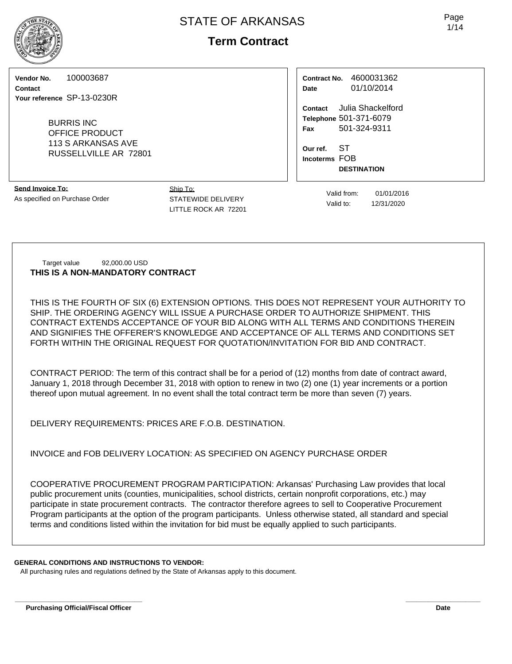# **Term Contract**

**Vendor No.** 100003687

**Contact Your reference** SP-13-0230R

> BURRIS INC OFFICE PRODUCT 113 S ARKANSAS AVE RUSSELLVILLE AR 72801

**Send Invoice To:** As specified on Purchase Order

Ship To: STATEWIDE DELIVERY LITTLE ROCK AR 72201

**Contract No.** 4600031362 **Date** 01/10/2014

**Contact** Julia Shackelford **Telephone** 501-371-6079 **Fax** 501-324-9311

**Our ref.** ST **Incoterms** FOB **DESTINATION**

> Valid from: 01/01/2016 Valid to: 12/31/2020

Target value 92,000.00 USD **THIS IS A NON-MANDATORY CONTRACT**

THIS IS THE FOURTH OF SIX (6) EXTENSION OPTIONS. THIS DOES NOT REPRESENT YOUR AUTHORITY TO SHIP. THE ORDERING AGENCY WILL ISSUE A PURCHASE ORDER TO AUTHORIZE SHIPMENT. THIS CONTRACT EXTENDS ACCEPTANCE OF YOUR BID ALONG WITH ALL TERMS AND CONDITIONS THEREIN AND SIGNIFIES THE OFFERER'S KNOWLEDGE AND ACCEPTANCE OF ALL TERMS AND CONDITIONS SET FORTH WITHIN THE ORIGINAL REQUEST FOR QUOTATION/INVITATION FOR BID AND CONTRACT.

CONTRACT PERIOD: The term of this contract shall be for a period of (12) months from date of contract award, January 1, 2018 through December 31, 2018 with option to renew in two (2) one (1) year increments or a portion thereof upon mutual agreement. In no event shall the total contract term be more than seven (7) years.

DELIVERY REQUIREMENTS: PRICES ARE F.O.B. DESTINATION.

INVOICE and FOB DELIVERY LOCATION: AS SPECIFIED ON AGENCY PURCHASE ORDER

COOPERATIVE PROCUREMENT PROGRAM PARTICIPATION: Arkansas' Purchasing Law provides that local public procurement units (counties, municipalities, school districts, certain nonprofit corporations, etc.) may participate in state procurement contracts. The contractor therefore agrees to sell to Cooperative Procurement Program participants at the option of the program participants. Unless otherwise stated, all standard and special terms and conditions listed within the invitation for bid must be equally applied to such participants.

**\_\_\_\_\_\_\_\_\_\_\_\_\_\_\_\_\_\_\_\_\_\_\_\_\_\_\_\_\_\_\_\_\_\_ \_\_\_\_\_\_\_\_\_\_\_\_\_\_\_\_\_\_\_\_**

**GENERAL CONDITIONS AND INSTRUCTIONS TO VENDOR:**

All purchasing rules and regulations defined by the State of Arkansas apply to this document.



Page 1/14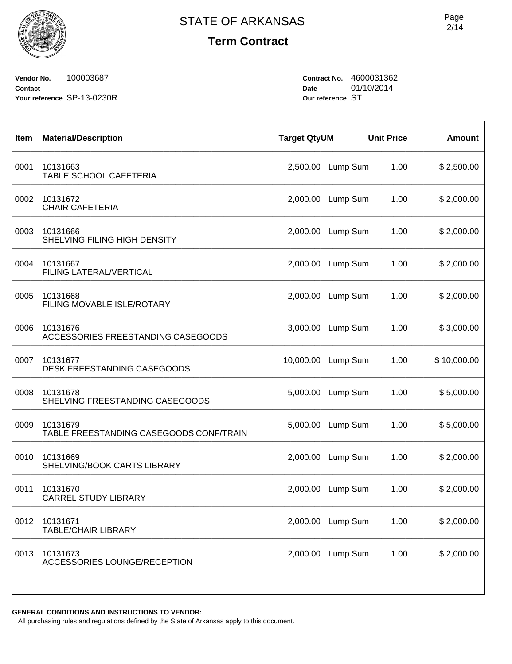$\sqrt{ }$ 

**Term Contract**

**Vendor No.** 100003687 **Contact Your reference** SP-13-0230R **Contract No.** 4600031362 **Date** 01/10/2014 **Our reference** ST

| Item | <b>Material/Description</b>                         | <b>Target QtyUM</b> |          | <b>Unit Price</b> | <b>Amount</b> |
|------|-----------------------------------------------------|---------------------|----------|-------------------|---------------|
| 0001 | 10131663<br>TABLE SCHOOL CAFETERIA                  | 2,500.00            | Lump Sum | 1.00              | \$2,500.00    |
| 0002 | 10131672<br><b>CHAIR CAFETERIA</b>                  | 2,000.00            | Lump Sum | 1.00              | \$2,000.00    |
| 0003 | 10131666<br>SHELVING FILING HIGH DENSITY            | 2,000.00            | Lump Sum | 1.00              | \$2,000.00    |
| 0004 | 10131667<br>FILING LATERAL/VERTICAL                 | 2,000.00            | Lump Sum | 1.00              | \$2,000.00    |
| 0005 | 10131668<br>FILING MOVABLE ISLE/ROTARY              | 2,000.00            | Lump Sum | 1.00              | \$2,000.00    |
| 0006 | 10131676<br>ACCESSORIES FREESTANDING CASEGOODS      | 3,000.00            | Lump Sum | 1.00              | \$3,000.00    |
| 0007 | 10131677<br><b>DESK FREESTANDING CASEGOODS</b>      | 10,000.00           | Lump Sum | 1.00              | \$10,000.00   |
| 0008 | 10131678<br>SHELVING FREESTANDING CASEGOODS         | 5,000.00            | Lump Sum | 1.00              | \$5,000.00    |
| 0009 | 10131679<br>TABLE FREESTANDING CASEGOODS CONF/TRAIN | 5,000.00            | Lump Sum | 1.00              | \$5,000.00    |
| 0010 | 10131669<br>SHELVING/BOOK CARTS LIBRARY             | 2,000.00            | Lump Sum | 1.00              | \$2,000.00    |
| 0011 | 10131670<br><b>CARREL STUDY LIBRARY</b>             | 2,000.00            | Lump Sum | 1.00              | \$2,000.00    |
| 0012 | 10131671<br><b>TABLE/CHAIR LIBRARY</b>              | 2,000.00            | Lump Sum | 1.00              | \$2,000.00    |
| 0013 | 10131673<br>ACCESSORIES LOUNGE/RECEPTION            | 2,000.00            | Lump Sum | 1.00              | \$2,000.00    |
|      |                                                     |                     |          |                   |               |

**GENERAL CONDITIONS AND INSTRUCTIONS TO VENDOR:**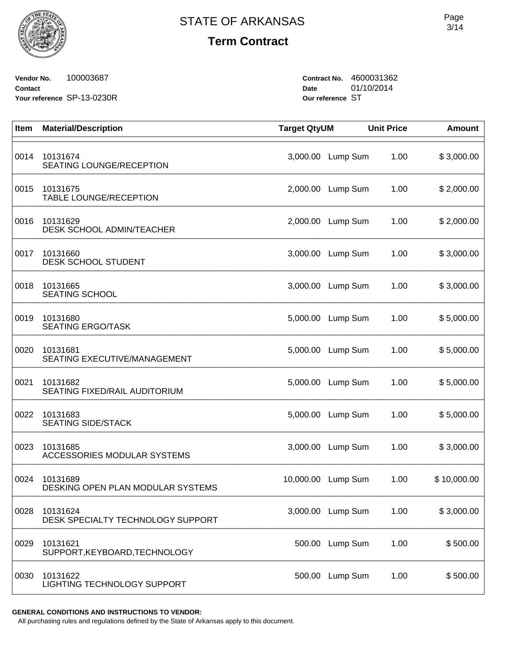

**Vendor No.** 100003687 **Contact Your reference** SP-13-0230R **Contract No.** 4600031362 **Date** 01/10/2014 **Our reference** ST

| Item | <b>Material/Description</b>                   | <b>Target QtyUM</b> |                   | <b>Unit Price</b> | <b>Amount</b> |
|------|-----------------------------------------------|---------------------|-------------------|-------------------|---------------|
| 0014 | 10131674<br>SEATING LOUNGE/RECEPTION          | 3,000.00            | Lump Sum          | 1.00              | \$3,000.00    |
| 0015 | 10131675<br>TABLE LOUNGE/RECEPTION            | 2,000.00            | Lump Sum          | 1.00              | \$2,000.00    |
| 0016 | 10131629<br><b>DESK SCHOOL ADMIN/TEACHER</b>  | 2,000.00            | Lump Sum          | 1.00              | \$2,000.00    |
| 0017 | 10131660<br>DESK SCHOOL STUDENT               | 3,000.00            | Lump Sum          | 1.00              | \$3,000.00    |
| 0018 | 10131665<br><b>SEATING SCHOOL</b>             | 3,000.00            | Lump Sum          | 1.00              | \$3,000.00    |
| 0019 | 10131680<br><b>SEATING ERGO/TASK</b>          | 5,000.00            | Lump Sum          | 1.00              | \$5,000.00    |
| 0020 | 10131681<br>SEATING EXECUTIVE/MANAGEMENT      | 5,000.00            | Lump Sum          | 1.00              | \$5,000.00    |
| 0021 | 10131682<br>SEATING FIXED/RAIL AUDITORIUM     | 5,000.00            | Lump Sum          | 1.00              | \$5,000.00    |
| 0022 | 10131683<br><b>SEATING SIDE/STACK</b>         | 5,000.00            | Lump Sum          | 1.00              | \$5,000.00    |
| 0023 | 10131685<br>ACCESSORIES MODULAR SYSTEMS       | 3,000.00            | Lump Sum          | 1.00              | \$3,000.00    |
| 0024 | 10131689<br>DESKING OPEN PLAN MODULAR SYSTEMS | 10,000.00           | Lump Sum          | 1.00              | \$10,000.00   |
| 0028 | 10131624<br>DESK SPECIALTY TECHNOLOGY SUPPORT |                     | 3,000.00 Lump Sum | 1.00              | \$3,000.00    |
| 0029 | 10131621<br>SUPPORT, KEYBOARD, TECHNOLOGY     | 500.00              | Lump Sum          | 1.00              | \$500.00      |
| 0030 | 10131622<br>LIGHTING TECHNOLOGY SUPPORT       | 500.00              | Lump Sum          | 1.00              | \$500.00      |

**GENERAL CONDITIONS AND INSTRUCTIONS TO VENDOR:**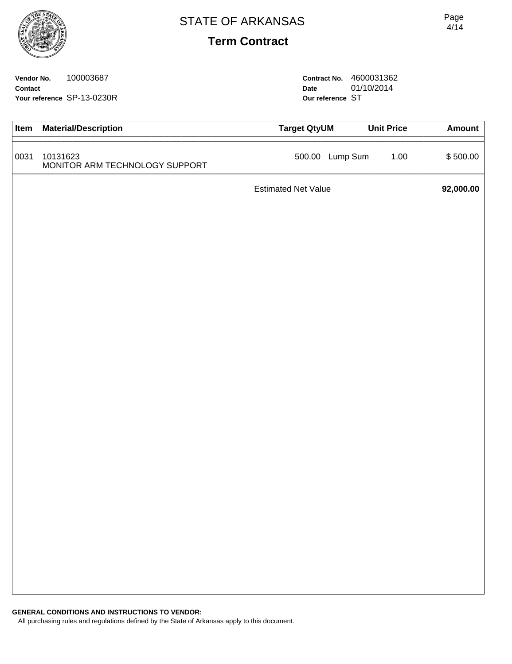**Vendor No.** 100003687 **Contact Your reference** SP-13-0230R **Contract No.** 4600031362 **Date** 01/10/2014 **Our reference** ST

| Item | <b>Material/Description</b>                | <b>Target QtyUM</b>        | <b>Unit Price</b> | <b>Amount</b> |
|------|--------------------------------------------|----------------------------|-------------------|---------------|
| 0031 | 10131623<br>MONITOR ARM TECHNOLOGY SUPPORT | 500.00 Lump Sum            | 1.00              | \$500.00      |
|      |                                            | <b>Estimated Net Value</b> |                   | 92,000.00     |
|      |                                            |                            |                   |               |
|      |                                            |                            |                   |               |
|      |                                            |                            |                   |               |
|      |                                            |                            |                   |               |
|      |                                            |                            |                   |               |
|      |                                            |                            |                   |               |
|      |                                            |                            |                   |               |
|      |                                            |                            |                   |               |
|      |                                            |                            |                   |               |
|      |                                            |                            |                   |               |
|      |                                            |                            |                   |               |
|      |                                            |                            |                   |               |
|      |                                            |                            |                   |               |
|      |                                            |                            |                   |               |
|      |                                            |                            |                   |               |
|      |                                            |                            |                   |               |
|      |                                            |                            |                   |               |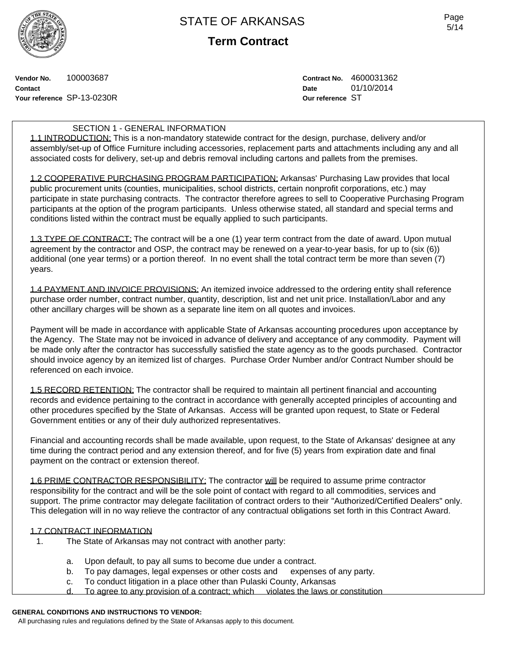

**Term Contract**

**Vendor No.** 100003687 **Contact Your reference** SP-13-0230R **Contract No.** 4600031362 **Date** 01/10/2014 **Our reference** ST

## SECTION 1 - GENERAL INFORMATION

1.1 INTRODUCTION: This is a non-mandatory statewide contract for the design, purchase, delivery and/or assembly/set-up of Office Furniture including accessories, replacement parts and attachments including any and all associated costs for delivery, set-up and debris removal including cartons and pallets from the premises.

1.2 COOPERATIVE PURCHASING PROGRAM PARTICIPATION: Arkansas' Purchasing Law provides that local public procurement units (counties, municipalities, school districts, certain nonprofit corporations, etc.) may participate in state purchasing contracts. The contractor therefore agrees to sell to Cooperative Purchasing Program participants at the option of the program participants. Unless otherwise stated, all standard and special terms and conditions listed within the contract must be equally applied to such participants.

1.3 TYPE OF CONTRACT: The contract will be a one (1) year term contract from the date of award. Upon mutual agreement by the contractor and OSP, the contract may be renewed on a year-to-year basis, for up to (six (6)) additional (one year terms) or a portion thereof. In no event shall the total contract term be more than seven (7) years.

1.4 PAYMENT AND INVOICE PROVISIONS: An itemized invoice addressed to the ordering entity shall reference purchase order number, contract number, quantity, description, list and net unit price. Installation/Labor and any other ancillary charges will be shown as a separate line item on all quotes and invoices.

Payment will be made in accordance with applicable State of Arkansas accounting procedures upon acceptance by the Agency. The State may not be invoiced in advance of delivery and acceptance of any commodity. Payment will be made only after the contractor has successfully satisfied the state agency as to the goods purchased. Contractor should invoice agency by an itemized list of charges. Purchase Order Number and/or Contract Number should be referenced on each invoice.

1.5 RECORD RETENTION: The contractor shall be required to maintain all pertinent financial and accounting records and evidence pertaining to the contract in accordance with generally accepted principles of accounting and other procedures specified by the State of Arkansas. Access will be granted upon request, to State or Federal Government entities or any of their duly authorized representatives.

Financial and accounting records shall be made available, upon request, to the State of Arkansas' designee at any time during the contract period and any extension thereof, and for five (5) years from expiration date and final payment on the contract or extension thereof.

1.6 PRIME CONTRACTOR RESPONSIBILITY: The contractor will be required to assume prime contractor responsibility for the contract and will be the sole point of contact with regard to all commodities, services and support. The prime contractor may delegate facilitation of contract orders to their "Authorized/Certified Dealers" only. This delegation will in no way relieve the contractor of any contractual obligations set forth in this Contract Award.

#### 1.7 CONTRACT INFORMATION

- 1. The State of Arkansas may not contract with another party:
	- a. Upon default, to pay all sums to become due under a contract.
	- b. To pay damages, legal expenses or other costs and expenses of any party.
	- c. To conduct litigation in a place other than Pulaski County, Arkansas
	- d. To agree to any provision of a contract; which violates the laws or constitution

## **GENERAL CONDITIONS AND INSTRUCTIONS TO VENDOR:**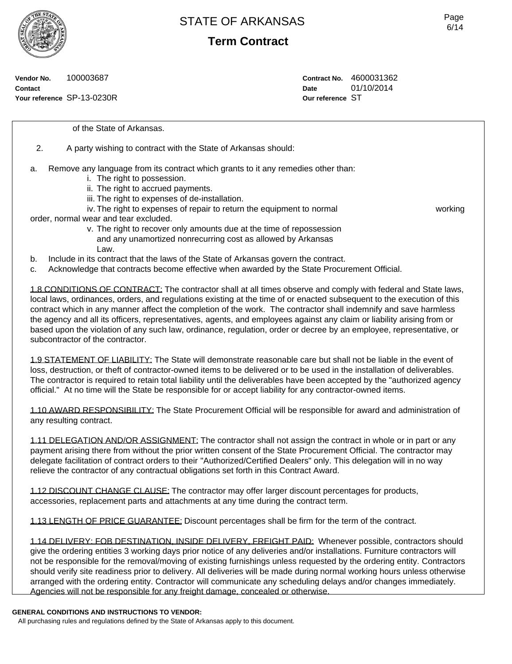**Term Contract**

**Vendor No.** 100003687 **Contact Your reference** SP-13-0230R **Contract No.** 4600031362 **Date** 01/10/2014 **Our reference** ST

of the State of Arkansas.

- 2. A party wishing to contract with the State of Arkansas should:
- a. Remove any language from its contract which grants to it any remedies other than:
	- i. The right to possession.
	- ii. The right to accrued payments.
	- iii. The right to expenses of de-installation.
	- iv. The right to expenses of repair to return the equipment to normal working

order, normal wear and tear excluded.

- v. The right to recover only amounts due at the time of repossession and any unamortized nonrecurring cost as allowed by Arkansas Law.
- b. Include in its contract that the laws of the State of Arkansas govern the contract.
- c. Acknowledge that contracts become effective when awarded by the State Procurement Official.

1.8 CONDITIONS OF CONTRACT: The contractor shall at all times observe and comply with federal and State laws, local laws, ordinances, orders, and regulations existing at the time of or enacted subsequent to the execution of this contract which in any manner affect the completion of the work. The contractor shall indemnify and save harmless the agency and all its officers, representatives, agents, and employees against any claim or liability arising from or based upon the violation of any such law, ordinance, regulation, order or decree by an employee, representative, or subcontractor of the contractor.

1.9 STATEMENT OF LIABILITY: The State will demonstrate reasonable care but shall not be liable in the event of loss, destruction, or theft of contractor-owned items to be delivered or to be used in the installation of deliverables. The contractor is required to retain total liability until the deliverables have been accepted by the "authorized agency official." At no time will the State be responsible for or accept liability for any contractor-owned items.

1.10 AWARD RESPONSIBILITY: The State Procurement Official will be responsible for award and administration of any resulting contract.

1.11 DELEGATION AND/OR ASSIGNMENT: The contractor shall not assign the contract in whole or in part or any payment arising there from without the prior written consent of the State Procurement Official. The contractor may delegate facilitation of contract orders to their "Authorized/Certified Dealers" only. This delegation will in no way relieve the contractor of any contractual obligations set forth in this Contract Award.

1.12 DISCOUNT CHANGE CLAUSE: The contractor may offer larger discount percentages for products, accessories, replacement parts and attachments at any time during the contract term.

1.13 LENGTH OF PRICE GUARANTEE: Discount percentages shall be firm for the term of the contract.

1.14 DELIVERY: FOB DESTINATION, INSIDE DELIVERY, FREIGHT PAID: Whenever possible, contractors should give the ordering entities 3 working days prior notice of any deliveries and/or installations. Furniture contractors will not be responsible for the removal/moving of existing furnishings unless requested by the ordering entity. Contractors should verify site readiness prior to delivery. All deliveries will be made during normal working hours unless otherwise arranged with the ordering entity. Contractor will communicate any scheduling delays and/or changes immediately. Agencies will not be responsible for any freight damage, concealed or otherwise.

#### **GENERAL CONDITIONS AND INSTRUCTIONS TO VENDOR:**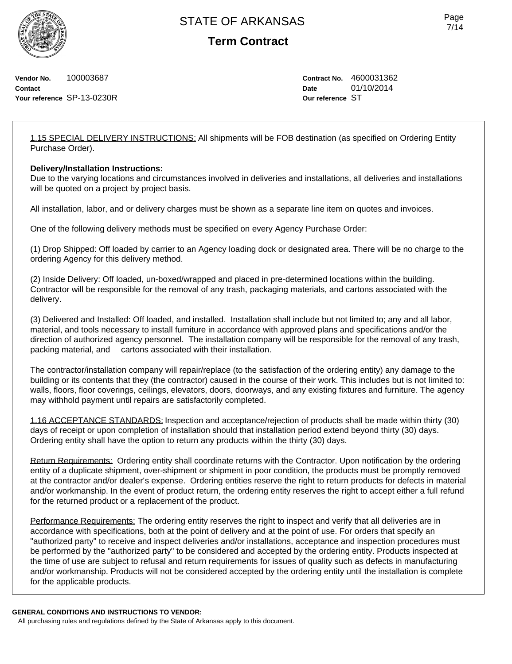**Term Contract**

**Vendor No.** 100003687 **Contact Your reference** SP-13-0230R **Contract No.** 4600031362 **Date** 01/10/2014 **Our reference** ST

1.15 SPECIAL DELIVERY INSTRUCTIONS: All shipments will be FOB destination (as specified on Ordering Entity Purchase Order).

## **Delivery/Installation Instructions:**

Due to the varying locations and circumstances involved in deliveries and installations, all deliveries and installations will be quoted on a project by project basis.

All installation, labor, and or delivery charges must be shown as a separate line item on quotes and invoices.

One of the following delivery methods must be specified on every Agency Purchase Order:

(1) Drop Shipped: Off loaded by carrier to an Agency loading dock or designated area. There will be no charge to the ordering Agency for this delivery method.

(2) Inside Delivery: Off loaded, un-boxed/wrapped and placed in pre-determined locations within the building. Contractor will be responsible for the removal of any trash, packaging materials, and cartons associated with the delivery.

(3) Delivered and Installed: Off loaded, and installed. Installation shall include but not limited to; any and all labor, material, and tools necessary to install furniture in accordance with approved plans and specifications and/or the direction of authorized agency personnel. The installation company will be responsible for the removal of any trash, packing material, and cartons associated with their installation.

The contractor/installation company will repair/replace (to the satisfaction of the ordering entity) any damage to the building or its contents that they (the contractor) caused in the course of their work. This includes but is not limited to: walls, floors, floor coverings, ceilings, elevators, doors, doorways, and any existing fixtures and furniture. The agency may withhold payment until repairs are satisfactorily completed.

1.16 ACCEPTANCE STANDARDS: Inspection and acceptance/rejection of products shall be made within thirty (30) days of receipt or upon completion of installation should that installation period extend beyond thirty (30) days. Ordering entity shall have the option to return any products within the thirty (30) days.

Return Requirements: Ordering entity shall coordinate returns with the Contractor. Upon notification by the ordering entity of a duplicate shipment, over-shipment or shipment in poor condition, the products must be promptly removed at the contractor and/or dealer's expense. Ordering entities reserve the right to return products for defects in material and/or workmanship. In the event of product return, the ordering entity reserves the right to accept either a full refund for the returned product or a replacement of the product.

Performance Requirements: The ordering entity reserves the right to inspect and verify that all deliveries are in accordance with specifications, both at the point of delivery and at the point of use. For orders that specify an "authorized party" to receive and inspect deliveries and/or installations, acceptance and inspection procedures must be performed by the "authorized party" to be considered and accepted by the ordering entity. Products inspected at the time of use are subject to refusal and return requirements for issues of quality such as defects in manufacturing and/or workmanship. Products will not be considered accepted by the ordering entity until the installation is complete for the applicable products.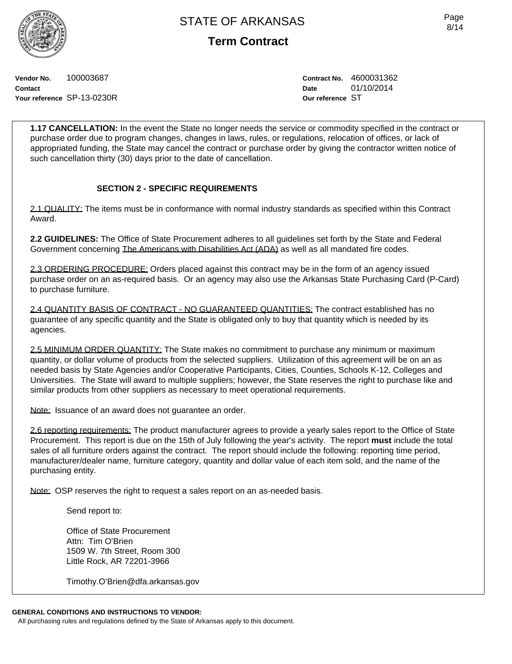**Term Contract**

**Vendor No.** 100003687 **Contact Your reference** SP-13-0230R **Contract No.** 4600031362 **Date** 01/10/2014 **Our reference** ST

**1.17 CANCELLATION:** In the event the State no longer needs the service or commodity specified in the contract or purchase order due to program changes, changes in laws, rules, or regulations, relocation of offices, or lack of appropriated funding, the State may cancel the contract or purchase order by giving the contractor written notice of such cancellation thirty (30) days prior to the date of cancellation.

## **SECTION 2 - SPECIFIC REQUIREMENTS**

2.1 QUALITY: The items must be in conformance with normal industry standards as specified within this Contract Award.

**2.2 GUIDELINES:** The Office of State Procurement adheres to all guidelines set forth by the State and Federal Government concerning The Americans with Disabilities Act (ADA) as well as all mandated fire codes.

2.3 ORDERING PROCEDURE: Orders placed against this contract may be in the form of an agency issued purchase order on an as-required basis. Or an agency may also use the Arkansas State Purchasing Card (P-Card) to purchase furniture.

2.4 QUANTITY BASIS OF CONTRACT - NO GUARANTEED QUANTITIES: The contract established has no guarantee of any specific quantity and the State is obligated only to buy that quantity which is needed by its agencies.

2.5 MINIMUM ORDER QUANTITY: The State makes no commitment to purchase any minimum or maximum quantity, or dollar volume of products from the selected suppliers. Utilization of this agreement will be on an as needed basis by State Agencies and/or Cooperative Participants, Cities, Counties, Schools K-12, Colleges and Universities. The State will award to multiple suppliers; however, the State reserves the right to purchase like and similar products from other suppliers as necessary to meet operational requirements.

Note: Issuance of an award does not guarantee an order.

2.6 reporting requirements: The product manufacturer agrees to provide a yearly sales report to the Office of State Procurement. This report is due on the 15th of July following the year's activity. The report **must** include the total sales of all furniture orders against the contract. The report should include the following: reporting time period, manufacturer/dealer name, furniture category, quantity and dollar value of each item sold, and the name of the purchasing entity.

Note: OSP reserves the right to request a sales report on an as-needed basis.

Send report to:

Office of State Procurement Attn: Tim O'Brien 1509 W. 7th Street, Room 300 Little Rock, AR 72201-3966

Timothy.O'Brien@dfa.arkansas.gov

## **GENERAL CONDITIONS AND INSTRUCTIONS TO VENDOR:**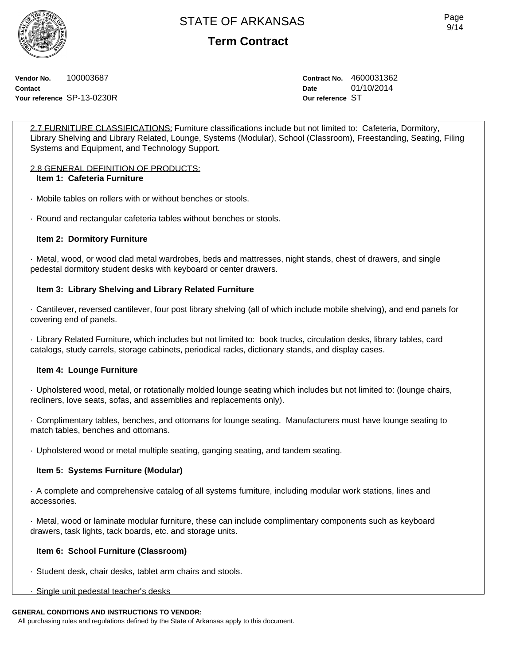**Term Contract**

**Vendor No.** 100003687 **Contact Your reference** SP-13-0230R **Contract No.** 4600031362 **Date** 01/10/2014 **Our reference** ST

2.7 FURNITURE CLASSIFICATIONS: Furniture classifications include but not limited to: Cafeteria, Dormitory, Library Shelving and Library Related, Lounge, Systems (Modular), School (Classroom), Freestanding, Seating, Filing Systems and Equipment, and Technology Support.

## 2.8 GENERAL DEFINITION OF PRODUCTS:

## **Item 1: Cafeteria Furniture**

· Mobile tables on rollers with or without benches or stools.

· Round and rectangular cafeteria tables without benches or stools.

## **Item 2: Dormitory Furniture**

· Metal, wood, or wood clad metal wardrobes, beds and mattresses, night stands, chest of drawers, and single pedestal dormitory student desks with keyboard or center drawers.

## **Item 3: Library Shelving and Library Related Furniture**

· Cantilever, reversed cantilever, four post library shelving (all of which include mobile shelving), and end panels for covering end of panels.

· Library Related Furniture, which includes but not limited to: book trucks, circulation desks, library tables, card catalogs, study carrels, storage cabinets, periodical racks, dictionary stands, and display cases.

## **Item 4: Lounge Furniture**

· Upholstered wood, metal, or rotationally molded lounge seating which includes but not limited to: (lounge chairs, recliners, love seats, sofas, and assemblies and replacements only).

· Complimentary tables, benches, and ottomans for lounge seating. Manufacturers must have lounge seating to match tables, benches and ottomans.

· Upholstered wood or metal multiple seating, ganging seating, and tandem seating.

## **Item 5: Systems Furniture (Modular)**

· A complete and comprehensive catalog of all systems furniture, including modular work stations, lines and accessories.

· Metal, wood or laminate modular furniture, these can include complimentary components such as keyboard drawers, task lights, tack boards, etc. and storage units.

## **Item 6: School Furniture (Classroom)**

- · Student desk, chair desks, tablet arm chairs and stools.
- · Single unit pedestal teacher's desks

#### **GENERAL CONDITIONS AND INSTRUCTIONS TO VENDOR:**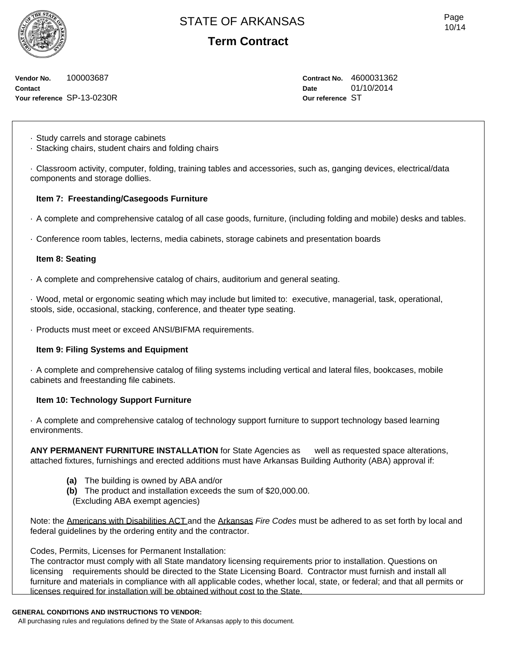**Term Contract**

**Vendor No.** 100003687 **Contact Your reference** SP-13-0230R **Contract No.** 4600031362 **Date** 01/10/2014 **Our reference** ST

· Study carrels and storage cabinets

· Stacking chairs, student chairs and folding chairs

· Classroom activity, computer, folding, training tables and accessories, such as, ganging devices, electrical/data components and storage dollies.

## **Item 7: Freestanding/Casegoods Furniture**

· A complete and comprehensive catalog of all case goods, furniture, (including folding and mobile) desks and tables.

· Conference room tables, lecterns, media cabinets, storage cabinets and presentation boards

#### **Item 8: Seating**

· A complete and comprehensive catalog of chairs, auditorium and general seating.

· Wood, metal or ergonomic seating which may include but limited to: executive, managerial, task, operational, stools, side, occasional, stacking, conference, and theater type seating.

· Products must meet or exceed ANSI/BIFMA requirements.

## **Item 9: Filing Systems and Equipment**

· A complete and comprehensive catalog of filing systems including vertical and lateral files, bookcases, mobile cabinets and freestanding file cabinets.

## **Item 10: Technology Support Furniture**

· A complete and comprehensive catalog of technology support furniture to support technology based learning environments.

**ANY PERMANENT FURNITURE INSTALLATION** for State Agencies as well as requested space alterations, attached fixtures, furnishings and erected additions must have Arkansas Building Authority (ABA) approval if:

- **(a)** The building is owned by ABA and/or
- **(b)** The product and installation exceeds the sum of \$20,000.00.
- (Excluding ABA exempt agencies)

Note: the Americans with Disabilities ACT and the Arkansas *Fire Codes* must be adhered to as set forth by local and federal guidelines by the ordering entity and the contractor.

Codes, Permits, Licenses for Permanent Installation:

The contractor must comply with all State mandatory licensing requirements prior to installation. Questions on licensing requirements should be directed to the State Licensing Board. Contractor must furnish and install all furniture and materials in compliance with all applicable codes, whether local, state, or federal; and that all permits or licenses required for installation will be obtained without cost to the State.

#### **GENERAL CONDITIONS AND INSTRUCTIONS TO VENDOR:**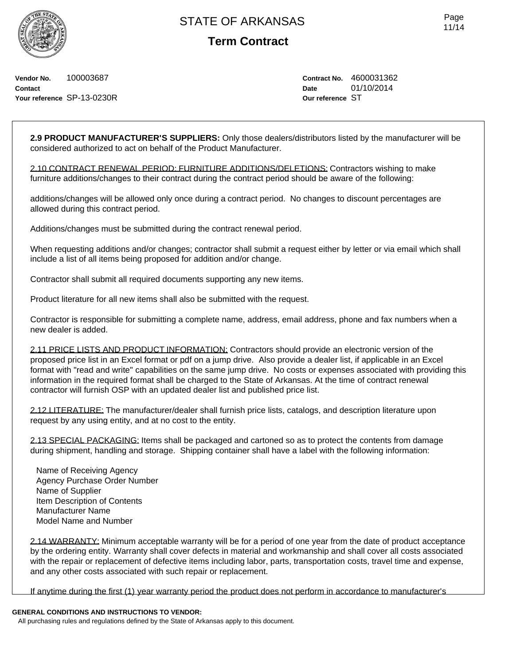**Vendor No.** 100003687 **Contact Your reference** SP-13-0230R **Contract No.** 4600031362 **Date** 01/10/2014 **Our reference** ST

**2.9 PRODUCT MANUFACTURER'S SUPPLIERS:** Only those dealers/distributors listed by the manufacturer will be considered authorized to act on behalf of the Product Manufacturer.

2.10 CONTRACT RENEWAL PERIOD: FURNITURE ADDITIONS/DELETIONS: Contractors wishing to make furniture additions/changes to their contract during the contract period should be aware of the following:

additions/changes will be allowed only once during a contract period. No changes to discount percentages are allowed during this contract period.

Additions/changes must be submitted during the contract renewal period.

When requesting additions and/or changes; contractor shall submit a request either by letter or via email which shall include a list of all items being proposed for addition and/or change.

Contractor shall submit all required documents supporting any new items.

Product literature for all new items shall also be submitted with the request.

Contractor is responsible for submitting a complete name, address, email address, phone and fax numbers when a new dealer is added.

2.11 PRICE LISTS AND PRODUCT INFORMATION: Contractors should provide an electronic version of the proposed price list in an Excel format or pdf on a jump drive. Also provide a dealer list, if applicable in an Excel format with "read and write" capabilities on the same jump drive. No costs or expenses associated with providing this information in the required format shall be charged to the State of Arkansas. At the time of contract renewal contractor will furnish OSP with an updated dealer list and published price list.

2.12 LITERATURE: The manufacturer/dealer shall furnish price lists, catalogs, and description literature upon request by any using entity, and at no cost to the entity.

2.13 SPECIAL PACKAGING: Items shall be packaged and cartoned so as to protect the contents from damage during shipment, handling and storage. Shipping container shall have a label with the following information:

Name of Receiving Agency Agency Purchase Order Number Name of Supplier Item Description of Contents Manufacturer Name Model Name and Number

2.14 WARRANTY: Minimum acceptable warranty will be for a period of one year from the date of product acceptance by the ordering entity. Warranty shall cover defects in material and workmanship and shall cover all costs associated with the repair or replacement of defective items including labor, parts, transportation costs, travel time and expense, and any other costs associated with such repair or replacement.

If anytime during the first (1) year warranty period the product does not perform in accordance to manufacturer's

## **GENERAL CONDITIONS AND INSTRUCTIONS TO VENDOR:**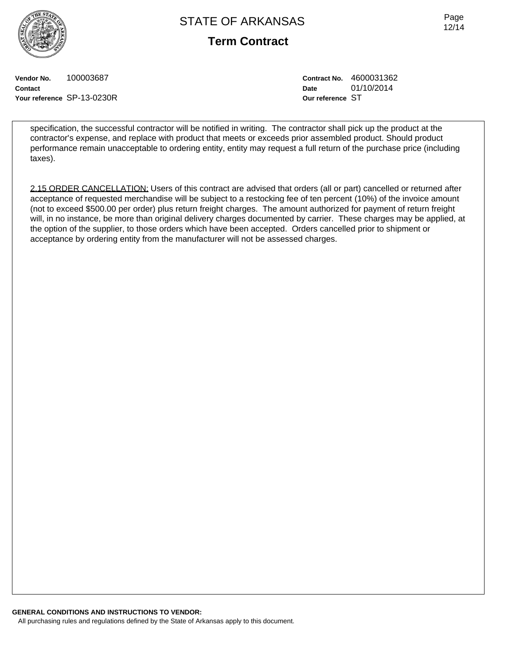**Term Contract**

Page 12/14

**Vendor No.** 100003687 **Contact Your reference** SP-13-0230R **Contract No.** 4600031362 **Date** 01/10/2014 **Our reference** ST

specification, the successful contractor will be notified in writing. The contractor shall pick up the product at the contractor's expense, and replace with product that meets or exceeds prior assembled product. Should product performance remain unacceptable to ordering entity, entity may request a full return of the purchase price (including taxes).

2.15 ORDER CANCELLATION: Users of this contract are advised that orders (all or part) cancelled or returned after acceptance of requested merchandise will be subject to a restocking fee of ten percent (10%) of the invoice amount (not to exceed \$500.00 per order) plus return freight charges. The amount authorized for payment of return freight will, in no instance, be more than original delivery charges documented by carrier. These charges may be applied, at the option of the supplier, to those orders which have been accepted. Orders cancelled prior to shipment or acceptance by ordering entity from the manufacturer will not be assessed charges.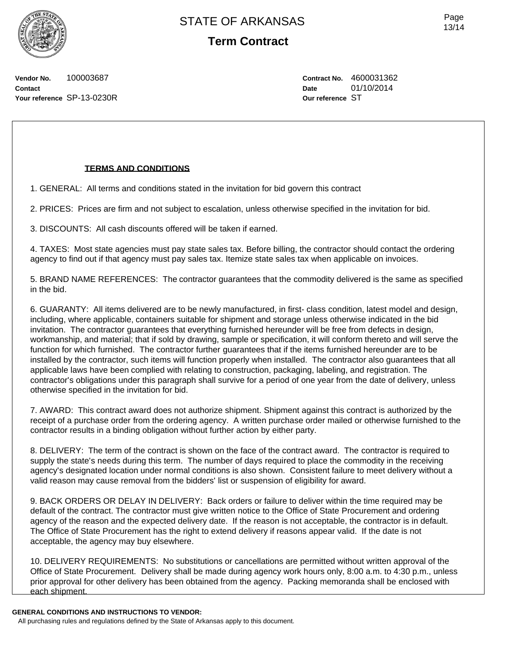Page 13/14

**Vendor No.** 100003687 **Contact Your reference** SP-13-0230R **Contract No.** 4600031362 **Date** 01/10/2014 **Our reference** ST

## **TERMS AND CONDITIONS**

1. GENERAL: All terms and conditions stated in the invitation for bid govern this contract

2. PRICES: Prices are firm and not subject to escalation, unless otherwise specified in the invitation for bid.

3. DISCOUNTS: All cash discounts offered will be taken if earned.

4. TAXES: Most state agencies must pay state sales tax. Before billing, the contractor should contact the ordering agency to find out if that agency must pay sales tax. Itemize state sales tax when applicable on invoices.

5. BRAND NAME REFERENCES: The contractor guarantees that the commodity delivered is the same as specified in the bid.

6. GUARANTY: All items delivered are to be newly manufactured, in first- class condition, latest model and design, including, where applicable, containers suitable for shipment and storage unless otherwise indicated in the bid invitation. The contractor guarantees that everything furnished hereunder will be free from defects in design, workmanship, and material; that if sold by drawing, sample or specification, it will conform thereto and will serve the function for which furnished. The contractor further guarantees that if the items furnished hereunder are to be installed by the contractor, such items will function properly when installed. The contractor also guarantees that all applicable laws have been complied with relating to construction, packaging, labeling, and registration. The contractor's obligations under this paragraph shall survive for a period of one year from the date of delivery, unless otherwise specified in the invitation for bid.

7. AWARD: This contract award does not authorize shipment. Shipment against this contract is authorized by the receipt of a purchase order from the ordering agency. A written purchase order mailed or otherwise furnished to the contractor results in a binding obligation without further action by either party.

8. DELIVERY: The term of the contract is shown on the face of the contract award. The contractor is required to supply the state's needs during this term. The number of days required to place the commodity in the receiving agency's designated location under normal conditions is also shown. Consistent failure to meet delivery without a valid reason may cause removal from the bidders' list or suspension of eligibility for award.

9. BACK ORDERS OR DELAY IN DELIVERY: Back orders or failure to deliver within the time required may be default of the contract. The contractor must give written notice to the Office of State Procurement and ordering agency of the reason and the expected delivery date. If the reason is not acceptable, the contractor is in default. The Office of State Procurement has the right to extend delivery if reasons appear valid. If the date is not acceptable, the agency may buy elsewhere.

10. DELIVERY REQUIREMENTS: No substitutions or cancellations are permitted without written approval of the Office of State Procurement. Delivery shall be made during agency work hours only, 8:00 a.m. to 4:30 p.m., unless prior approval for other delivery has been obtained from the agency. Packing memoranda shall be enclosed with each shipment.

#### **GENERAL CONDITIONS AND INSTRUCTIONS TO VENDOR:**